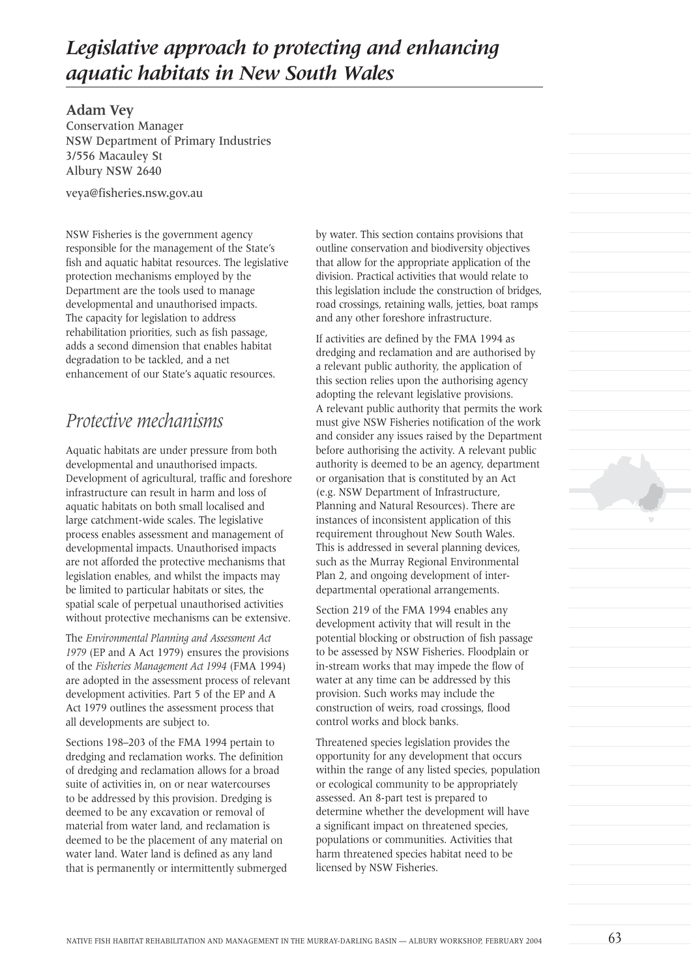# *Legislative approach to protecting and enhancing aquatic habitats in New South Wales*

**Adam Vey** Conservation Manager NSW Department of Primary Industries 3/556 Macauley St Albury NSW 2640

veya@fisheries.nsw.gov.au

NSW Fisheries is the government agency responsible for the management of the State's fish and aquatic habitat resources. The legislative protection mechanisms employed by the Department are the tools used to manage developmental and unauthorised impacts. The capacity for legislation to address rehabilitation priorities, such as fish passage, adds a second dimension that enables habitat degradation to be tackled, and a net enhancement of our State's aquatic resources.

### *Protective mechanisms*

Aquatic habitats are under pressure from both developmental and unauthorised impacts. Development of agricultural, traffic and foreshore infrastructure can result in harm and loss of aquatic habitats on both small localised and large catchment-wide scales. The legislative process enables assessment and management of developmental impacts. Unauthorised impacts are not afforded the protective mechanisms that legislation enables, and whilst the impacts may be limited to particular habitats or sites, the spatial scale of perpetual unauthorised activities without protective mechanisms can be extensive.

The *Environmental Planning and Assessment Act 1979* (EP and A Act 1979) ensures the provisions of the *Fisheries Management Act 1994* (FMA 1994) are adopted in the assessment process of relevant development activities. Part 5 of the EP and A Act 1979 outlines the assessment process that all developments are subject to.

Sections 198–203 of the FMA 1994 pertain to dredging and reclamation works. The definition of dredging and reclamation allows for a broad suite of activities in, on or near watercourses to be addressed by this provision. Dredging is deemed to be any excavation or removal of material from water land, and reclamation is deemed to be the placement of any material on water land. Water land is defined as any land that is permanently or intermittently submerged by water. This section contains provisions that outline conservation and biodiversity objectives that allow for the appropriate application of the division. Practical activities that would relate to this legislation include the construction of bridges, road crossings, retaining walls, jetties, boat ramps and any other foreshore infrastructure.

If activities are defined by the FMA 1994 as dredging and reclamation and are authorised by a relevant public authority, the application of this section relies upon the authorising agency adopting the relevant legislative provisions. A relevant public authority that permits the work must give NSW Fisheries notification of the work and consider any issues raised by the Department before authorising the activity. A relevant public authority is deemed to be an agency, department or organisation that is constituted by an Act (e.g. NSW Department of Infrastructure, Planning and Natural Resources). There are instances of inconsistent application of this requirement throughout New South Wales. This is addressed in several planning devices, such as the Murray Regional Environmental Plan 2, and ongoing development of interdepartmental operational arrangements.

Section 219 of the FMA 1994 enables any development activity that will result in the potential blocking or obstruction of fish passage to be assessed by NSW Fisheries. Floodplain or in-stream works that may impede the flow of water at any time can be addressed by this provision. Such works may include the construction of weirs, road crossings, flood control works and block banks.

Threatened species legislation provides the opportunity for any development that occurs within the range of any listed species, population or ecological community to be appropriately assessed. An 8-part test is prepared to determine whether the development will have a significant impact on threatened species, populations or communities. Activities that harm threatened species habitat need to be licensed by NSW Fisheries.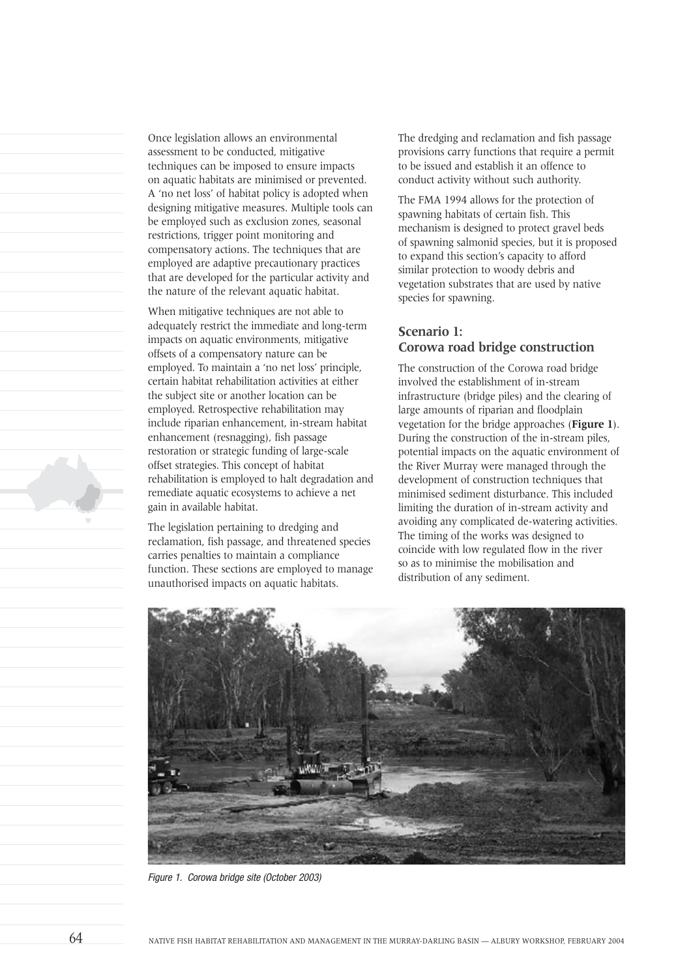Once legislation allows an environmental assessment to be conducted, mitigative techniques can be imposed to ensure impacts on aquatic habitats are minimised or prevented. A 'no net loss' of habitat policy is adopted when designing mitigative measures. Multiple tools can be employed such as exclusion zones, seasonal restrictions, trigger point monitoring and compensatory actions. The techniques that are employed are adaptive precautionary practices that are developed for the particular activity and the nature of the relevant aquatic habitat.

When mitigative techniques are not able to adequately restrict the immediate and long-term impacts on aquatic environments, mitigative offsets of a compensatory nature can be employed. To maintain a 'no net loss' principle, certain habitat rehabilitation activities at either the subject site or another location can be employed. Retrospective rehabilitation may include riparian enhancement, in-stream habitat enhancement (resnagging), fish passage restoration or strategic funding of large-scale offset strategies. This concept of habitat rehabilitation is employed to halt degradation and remediate aquatic ecosystems to achieve a net gain in available habitat.

The legislation pertaining to dredging and reclamation, fish passage, and threatened species carries penalties to maintain a compliance function. These sections are employed to manage unauthorised impacts on aquatic habitats.

The dredging and reclamation and fish passage provisions carry functions that require a permit to be issued and establish it an offence to conduct activity without such authority.

The FMA 1994 allows for the protection of spawning habitats of certain fish. This mechanism is designed to protect gravel beds of spawning salmonid species, but it is proposed to expand this section's capacity to afford similar protection to woody debris and vegetation substrates that are used by native species for spawning.

#### **Scenario 1: Corowa road bridge construction**

The construction of the Corowa road bridge involved the establishment of in-stream infrastructure (bridge piles) and the clearing of large amounts of riparian and floodplain vegetation for the bridge approaches (**Figure 1**). During the construction of the in-stream piles, potential impacts on the aquatic environment of the River Murray were managed through the development of construction techniques that minimised sediment disturbance. This included limiting the duration of in-stream activity and avoiding any complicated de-watering activities. The timing of the works was designed to coincide with low regulated flow in the river so as to minimise the mobilisation and distribution of any sediment.



Figure 1. Corowa bridge site (October 2003)